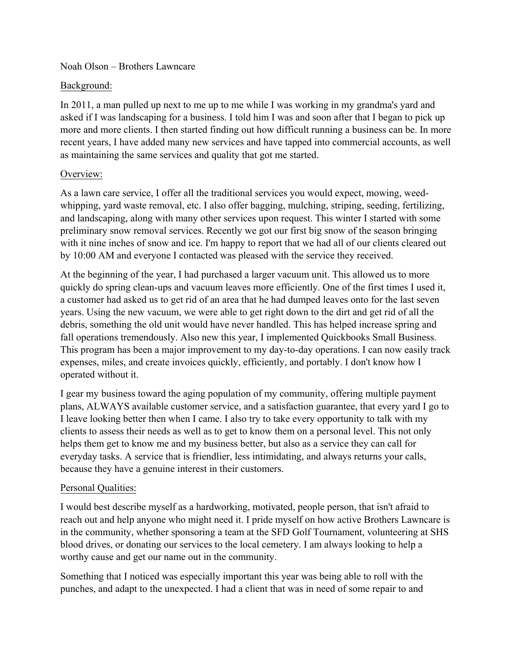#### Noah Olson – Brothers Lawncare

### Background:

In 2011, a man pulled up next to me up to me while I was working in my grandma's yard and asked if I was landscaping for a business. I told him I was and soon after that I began to pick up more and more clients. I then started finding out how difficult running a business can be. In more recent years, I have added many new services and have tapped into commercial accounts, as well as maintaining the same services and quality that got me started.

# Overview:

As a lawn care service, I offer all the traditional services you would expect, mowing, weedwhipping, yard waste removal, etc. I also offer bagging, mulching, striping, seeding, fertilizing, and landscaping, along with many other services upon request. This winter I started with some preliminary snow removal services. Recently we got our first big snow of the season bringing with it nine inches of snow and ice. I'm happy to report that we had all of our clients cleared out by 10:00 AM and everyone I contacted was pleased with the service they received.

At the beginning of the year, I had purchased a larger vacuum unit. This allowed us to more quickly do spring clean-ups and vacuum leaves more efficiently. One of the first times I used it, a customer had asked us to get rid of an area that he had dumped leaves onto for the last seven years. Using the new vacuum, we were able to get right down to the dirt and get rid of all the debris, something the old unit would have never handled. This has helped increase spring and fall operations tremendously. Also new this year, I implemented Quickbooks Small Business. This program has been a major improvement to my day-to-day operations. I can now easily track expenses, miles, and create invoices quickly, efficiently, and portably. I don't know how I operated without it.

I gear my business toward the aging population of my community, offering multiple payment plans, ALWAYS available customer service, and a satisfaction guarantee, that every yard I go to I leave looking better then when I came. I also try to take every opportunity to talk with my clients to assess their needs as well as to get to know them on a personal level. This not only helps them get to know me and my business better, but also as a service they can call for everyday tasks. A service that is friendlier, less intimidating, and always returns your calls, because they have a genuine interest in their customers.

# Personal Qualities:

I would best describe myself as a hardworking, motivated, people person, that isn't afraid to reach out and help anyone who might need it. I pride myself on how active Brothers Lawncare is in the community, whether sponsoring a team at the SFD Golf Tournament, volunteering at SHS blood drives, or donating our services to the local cemetery. I am always looking to help a worthy cause and get our name out in the community.

Something that I noticed was especially important this year was being able to roll with the punches, and adapt to the unexpected. I had a client that was in need of some repair to and